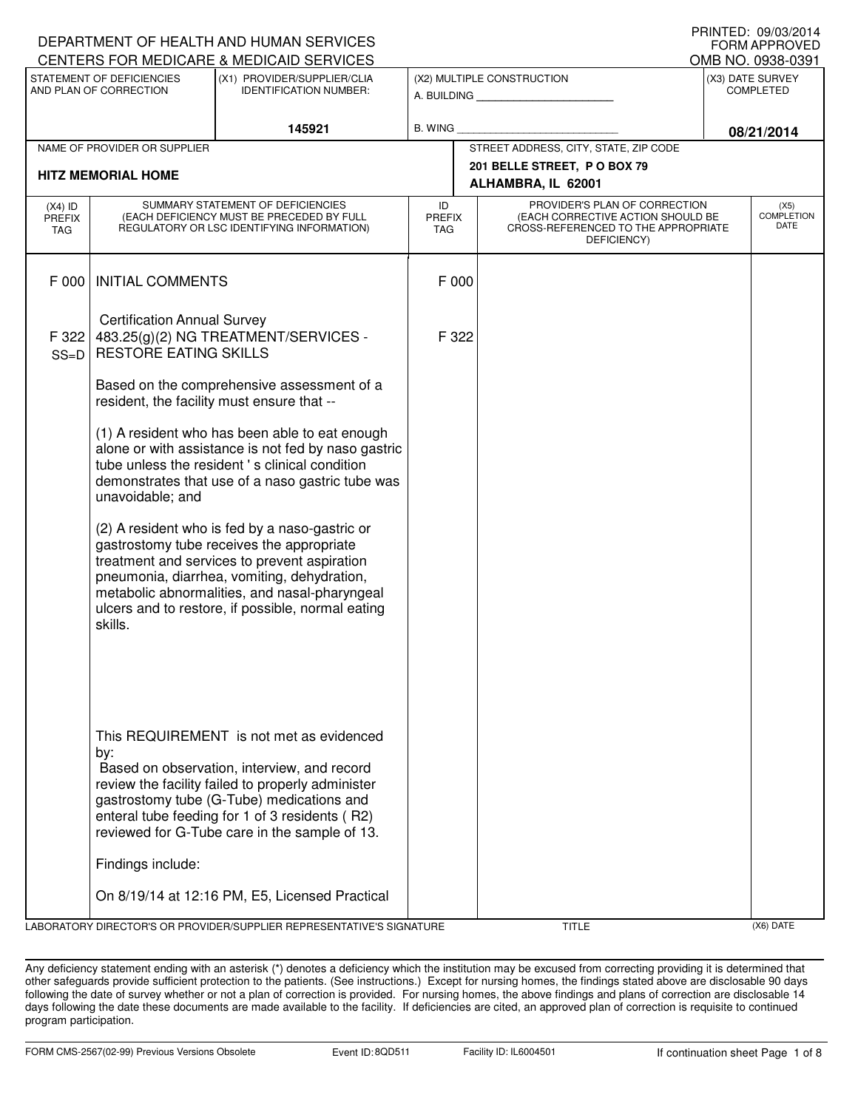|                                                                                                                     |                                                                    | DEPARTMENT OF HEALTH AND HUMAN SERVICES                                                                                                                                                                                                                                                                                                        |                                                              |                                                                                                                          |  | <b>FORM APPROVED</b>              |
|---------------------------------------------------------------------------------------------------------------------|--------------------------------------------------------------------|------------------------------------------------------------------------------------------------------------------------------------------------------------------------------------------------------------------------------------------------------------------------------------------------------------------------------------------------|--------------------------------------------------------------|--------------------------------------------------------------------------------------------------------------------------|--|-----------------------------------|
|                                                                                                                     |                                                                    | CENTERS FOR MEDICARE & MEDICAID SERVICES                                                                                                                                                                                                                                                                                                       |                                                              |                                                                                                                          |  | OMB NO. 0938-0391                 |
| STATEMENT OF DEFICIENCIES<br>(X1) PROVIDER/SUPPLIER/CLIA<br>AND PLAN OF CORRECTION<br><b>IDENTIFICATION NUMBER:</b> |                                                                    |                                                                                                                                                                                                                                                                                                                                                | (X2) MULTIPLE CONSTRUCTION<br>A. BUILDING <b>A.</b> BUILDING | (X3) DATE SURVEY<br><b>COMPLETED</b>                                                                                     |  |                                   |
|                                                                                                                     |                                                                    | 145921                                                                                                                                                                                                                                                                                                                                         | B. WING                                                      |                                                                                                                          |  | 08/21/2014                        |
|                                                                                                                     | NAME OF PROVIDER OR SUPPLIER                                       |                                                                                                                                                                                                                                                                                                                                                |                                                              | STREET ADDRESS, CITY, STATE, ZIP CODE                                                                                    |  |                                   |
|                                                                                                                     | <b>HITZ MEMORIAL HOME</b>                                          |                                                                                                                                                                                                                                                                                                                                                |                                                              | 201 BELLE STREET, P O BOX 79<br>ALHAMBRA, IL 62001                                                                       |  |                                   |
| $(X4)$ ID<br>PREFIX<br>TAG                                                                                          |                                                                    | SUMMARY STATEMENT OF DEFICIENCIES<br>(EACH DEFICIENCY MUST BE PRECEDED BY FULL<br>REGULATORY OR LSC IDENTIFYING INFORMATION)                                                                                                                                                                                                                   | ID<br><b>PREFIX</b><br>TAG                                   | PROVIDER'S PLAN OF CORRECTION<br>(EACH CORRECTIVE ACTION SHOULD BE<br>CROSS-REFERENCED TO THE APPROPRIATE<br>DEFICIENCY) |  | (X5)<br><b>COMPLETION</b><br>DATE |
| F 000                                                                                                               | <b>INITIAL COMMENTS</b>                                            |                                                                                                                                                                                                                                                                                                                                                | F 000                                                        |                                                                                                                          |  |                                   |
| F 322<br>$SS=D$                                                                                                     | <b>Certification Annual Survey</b><br><b>RESTORE EATING SKILLS</b> | 483.25(g)(2) NG TREATMENT/SERVICES -                                                                                                                                                                                                                                                                                                           | F 322                                                        |                                                                                                                          |  |                                   |
|                                                                                                                     |                                                                    | Based on the comprehensive assessment of a<br>resident, the facility must ensure that --                                                                                                                                                                                                                                                       |                                                              |                                                                                                                          |  |                                   |
|                                                                                                                     | unavoidable; and                                                   | (1) A resident who has been able to eat enough<br>alone or with assistance is not fed by naso gastric<br>tube unless the resident 's clinical condition<br>demonstrates that use of a naso gastric tube was                                                                                                                                    |                                                              |                                                                                                                          |  |                                   |
|                                                                                                                     | skills.                                                            | (2) A resident who is fed by a naso-gastric or<br>gastrostomy tube receives the appropriate<br>treatment and services to prevent aspiration<br>pneumonia, diarrhea, vomiting, dehydration,<br>metabolic abnormalities, and nasal-pharyngeal<br>ulcers and to restore, if possible, normal eating                                               |                                                              |                                                                                                                          |  |                                   |
|                                                                                                                     | by:<br>Findings include:                                           | This REQUIREMENT is not met as evidenced<br>Based on observation, interview, and record<br>review the facility failed to properly administer<br>gastrostomy tube (G-Tube) medications and<br>enteral tube feeding for 1 of 3 residents (R2)<br>reviewed for G-Tube care in the sample of 13.<br>On 8/19/14 at 12:16 PM, E5, Licensed Practical |                                                              |                                                                                                                          |  |                                   |
|                                                                                                                     |                                                                    | LABORATORY DIRECTOR'S OR PROVIDER/SUPPLIER REPRESENTATIVE'S SIGNATURE                                                                                                                                                                                                                                                                          |                                                              | <b>TITLE</b>                                                                                                             |  | (X6) DATE                         |

PRINTED: 09/03/2014

Any deficiency statement ending with an asterisk (\*) denotes a deficiency which the institution may be excused from correcting providing it is determined that other safeguards provide sufficient protection to the patients. (See instructions.) Except for nursing homes, the findings stated above are disclosable 90 days following the date of survey whether or not a plan of correction is provided. For nursing homes, the above findings and plans of correction are disclosable 14 days following the date these documents are made available to the facility. If deficiencies are cited, an approved plan of correction is requisite to continued program participation.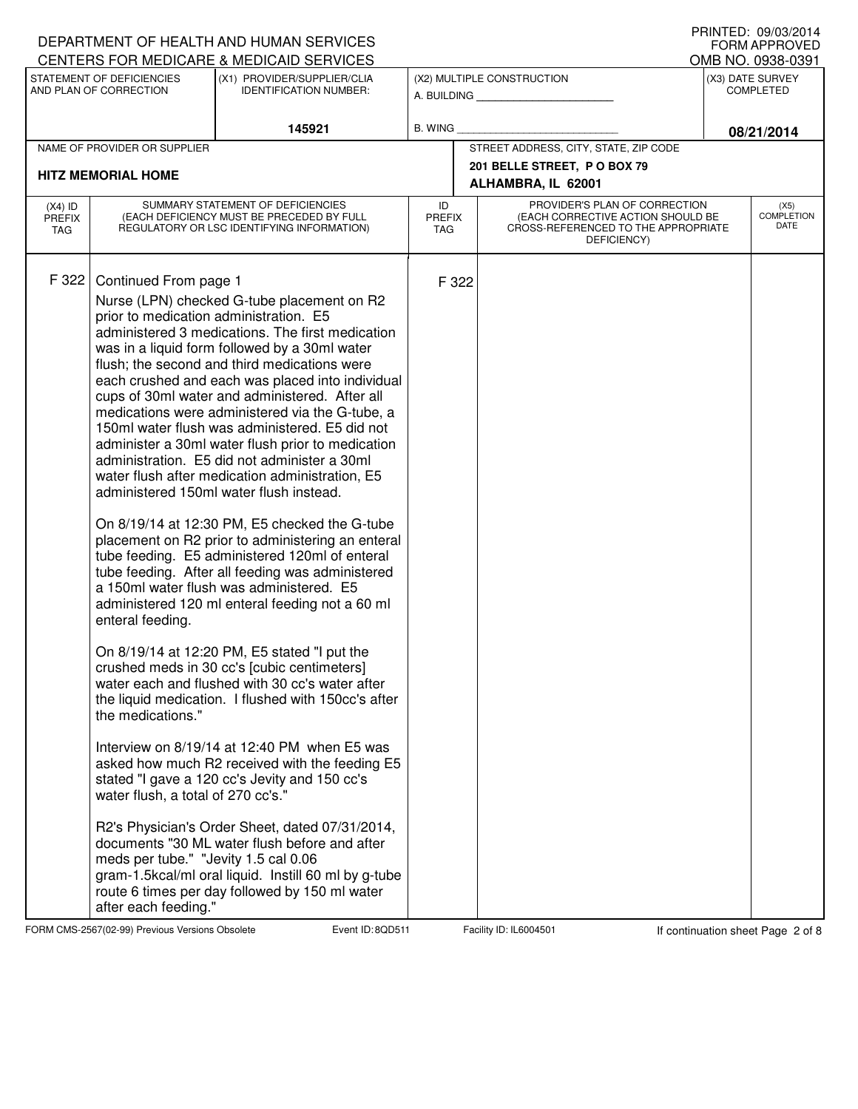|                                                                                                                               |                                                                                                                                                                                                                | DEPARTMENT OF HEALTH AND HUMAN SERVICES<br>CENTERS FOR MEDICARE & MEDICAID SERVICES                                                                                                                                                                                                                                                                                                                                                                                                                                                                                                                                                                                                                                                                                                                                                                                                                                                                                                                                                                                                                                                                                                                                                                                                                                                                                                                                                                                                                |                                                              |                                                                                                                          | FORM APPROVED<br>OMB NO. 0938-0391 |                                   |
|-------------------------------------------------------------------------------------------------------------------------------|----------------------------------------------------------------------------------------------------------------------------------------------------------------------------------------------------------------|----------------------------------------------------------------------------------------------------------------------------------------------------------------------------------------------------------------------------------------------------------------------------------------------------------------------------------------------------------------------------------------------------------------------------------------------------------------------------------------------------------------------------------------------------------------------------------------------------------------------------------------------------------------------------------------------------------------------------------------------------------------------------------------------------------------------------------------------------------------------------------------------------------------------------------------------------------------------------------------------------------------------------------------------------------------------------------------------------------------------------------------------------------------------------------------------------------------------------------------------------------------------------------------------------------------------------------------------------------------------------------------------------------------------------------------------------------------------------------------------------|--------------------------------------------------------------|--------------------------------------------------------------------------------------------------------------------------|------------------------------------|-----------------------------------|
| STATEMENT OF DEFICIENCIES<br>(X1) PROVIDER/SUPPLIER/CLIA<br>AND PLAN OF CORRECTION<br><b>IDENTIFICATION NUMBER:</b><br>145921 |                                                                                                                                                                                                                |                                                                                                                                                                                                                                                                                                                                                                                                                                                                                                                                                                                                                                                                                                                                                                                                                                                                                                                                                                                                                                                                                                                                                                                                                                                                                                                                                                                                                                                                                                    | (X2) MULTIPLE CONSTRUCTION<br>A. BUILDING <b>A.</b> BUILDING | (X3) DATE SURVEY<br><b>COMPLETED</b>                                                                                     |                                    |                                   |
|                                                                                                                               |                                                                                                                                                                                                                | <b>B. WING</b>                                                                                                                                                                                                                                                                                                                                                                                                                                                                                                                                                                                                                                                                                                                                                                                                                                                                                                                                                                                                                                                                                                                                                                                                                                                                                                                                                                                                                                                                                     |                                                              | 08/21/2014                                                                                                               |                                    |                                   |
|                                                                                                                               | NAME OF PROVIDER OR SUPPLIER                                                                                                                                                                                   |                                                                                                                                                                                                                                                                                                                                                                                                                                                                                                                                                                                                                                                                                                                                                                                                                                                                                                                                                                                                                                                                                                                                                                                                                                                                                                                                                                                                                                                                                                    |                                                              | STREET ADDRESS, CITY, STATE, ZIP CODE                                                                                    |                                    |                                   |
| <b>HITZ MEMORIAL HOME</b>                                                                                                     |                                                                                                                                                                                                                |                                                                                                                                                                                                                                                                                                                                                                                                                                                                                                                                                                                                                                                                                                                                                                                                                                                                                                                                                                                                                                                                                                                                                                                                                                                                                                                                                                                                                                                                                                    |                                                              | 201 BELLE STREET, P O BOX 79<br>ALHAMBRA, IL 62001                                                                       |                                    |                                   |
| $(X4)$ ID<br><b>PREFIX</b><br>TAG                                                                                             |                                                                                                                                                                                                                | SUMMARY STATEMENT OF DEFICIENCIES<br>(EACH DEFICIENCY MUST BE PRECEDED BY FULL<br>REGULATORY OR LSC IDENTIFYING INFORMATION)                                                                                                                                                                                                                                                                                                                                                                                                                                                                                                                                                                                                                                                                                                                                                                                                                                                                                                                                                                                                                                                                                                                                                                                                                                                                                                                                                                       | ID<br><b>PREFIX</b><br><b>TAG</b>                            | PROVIDER'S PLAN OF CORRECTION<br>(EACH CORRECTIVE ACTION SHOULD BE<br>CROSS-REFERENCED TO THE APPROPRIATE<br>DEFICIENCY) |                                    | (X5)<br><b>COMPLETION</b><br>DATE |
| F 322                                                                                                                         | Continued From page 1<br>prior to medication administration. E5<br>enteral feeding.<br>the medications."<br>water flush, a total of 270 cc's."<br>meds per tube." "Jevity 1.5 cal 0.06<br>after each feeding." | Nurse (LPN) checked G-tube placement on R2<br>administered 3 medications. The first medication<br>was in a liquid form followed by a 30ml water<br>flush; the second and third medications were<br>each crushed and each was placed into individual<br>cups of 30ml water and administered. After all<br>medications were administered via the G-tube, a<br>150ml water flush was administered. E5 did not<br>administer a 30ml water flush prior to medication<br>administration. E5 did not administer a 30ml<br>water flush after medication administration, E5<br>administered 150ml water flush instead.<br>On 8/19/14 at 12:30 PM, E5 checked the G-tube<br>placement on R2 prior to administering an enteral<br>tube feeding. E5 administered 120ml of enteral<br>tube feeding. After all feeding was administered<br>a 150ml water flush was administered. E5<br>administered 120 ml enteral feeding not a 60 ml<br>On 8/19/14 at 12:20 PM, E5 stated "I put the<br>crushed meds in 30 cc's [cubic centimeters]<br>water each and flushed with 30 cc's water after<br>the liquid medication. I flushed with 150cc's after<br>Interview on 8/19/14 at 12:40 PM when E5 was<br>asked how much R2 received with the feeding E5<br>stated "I gave a 120 cc's Jevity and 150 cc's<br>R2's Physician's Order Sheet, dated 07/31/2014,<br>documents "30 ML water flush before and after<br>gram-1.5kcal/ml oral liquid. Instill 60 ml by g-tube<br>route 6 times per day followed by 150 ml water | F 322                                                        |                                                                                                                          |                                    |                                   |

FORM CMS-2567(02-99) Previous Versions Obsolete **800 Event ID: 8QD511** Facility ID: IL6004501 If continuation sheet Page 2 of 8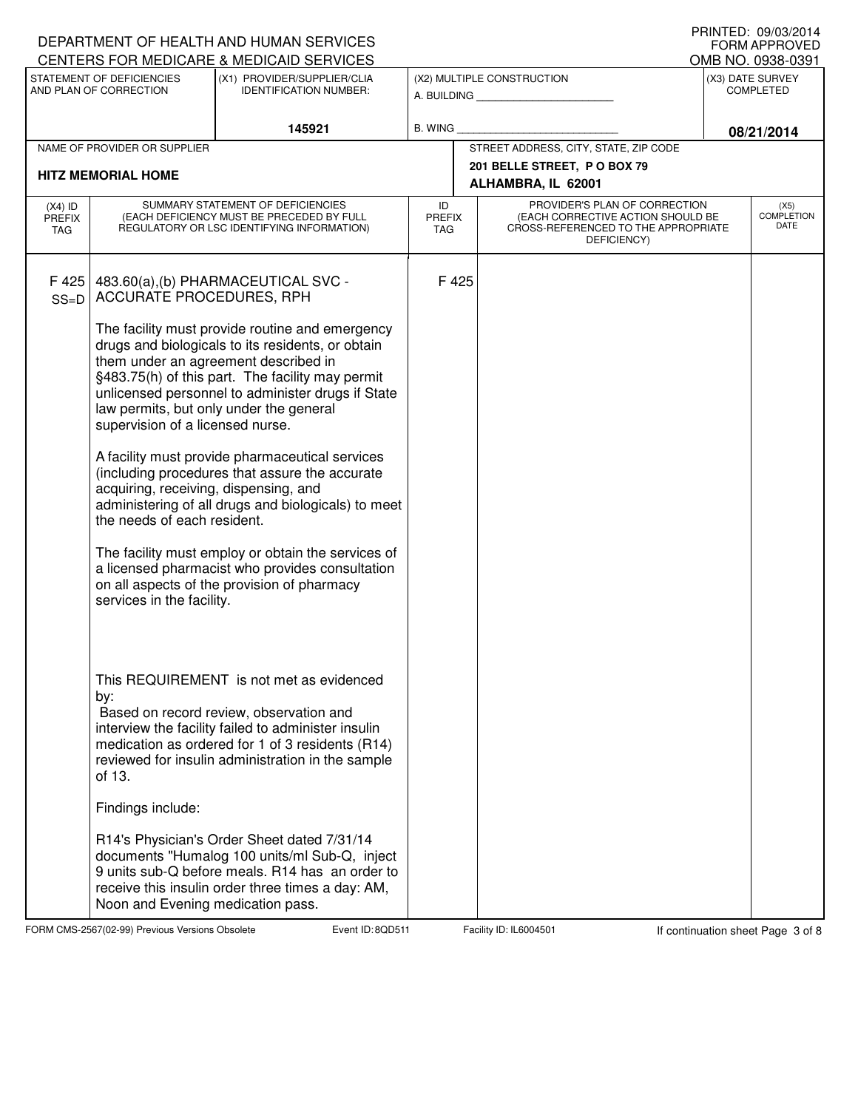|                                                                                                                                                                 |                                                                                                                                             | DEPARTMENT OF HEALTH AND HUMAN SERVICES                                                                                                                                                                                                                                                                                                                                                                                                                                                                                                                       |                                                              |                                                                                                                          |            | IIIIIIILU. V <i>JI</i> VU <i>L</i> VIT<br>FORM APPROVED<br>OMB NO. 0938-0391 |  |
|-----------------------------------------------------------------------------------------------------------------------------------------------------------------|---------------------------------------------------------------------------------------------------------------------------------------------|---------------------------------------------------------------------------------------------------------------------------------------------------------------------------------------------------------------------------------------------------------------------------------------------------------------------------------------------------------------------------------------------------------------------------------------------------------------------------------------------------------------------------------------------------------------|--------------------------------------------------------------|--------------------------------------------------------------------------------------------------------------------------|------------|------------------------------------------------------------------------------|--|
| CENTERS FOR MEDICARE & MEDICAID SERVICES<br>STATEMENT OF DEFICIENCIES<br>(X1) PROVIDER/SUPPLIER/CLIA<br>AND PLAN OF CORRECTION<br><b>IDENTIFICATION NUMBER:</b> |                                                                                                                                             |                                                                                                                                                                                                                                                                                                                                                                                                                                                                                                                                                               | (X2) MULTIPLE CONSTRUCTION<br>A. BUILDING <b>A.</b> BUILDING | (X3) DATE SURVEY<br><b>COMPLETED</b>                                                                                     |            |                                                                              |  |
|                                                                                                                                                                 | 145921                                                                                                                                      |                                                                                                                                                                                                                                                                                                                                                                                                                                                                                                                                                               | B. WING                                                      |                                                                                                                          | 08/21/2014 |                                                                              |  |
|                                                                                                                                                                 | NAME OF PROVIDER OR SUPPLIER                                                                                                                |                                                                                                                                                                                                                                                                                                                                                                                                                                                                                                                                                               |                                                              | STREET ADDRESS, CITY, STATE, ZIP CODE                                                                                    |            |                                                                              |  |
| <b>HITZ MEMORIAL HOME</b>                                                                                                                                       |                                                                                                                                             |                                                                                                                                                                                                                                                                                                                                                                                                                                                                                                                                                               |                                                              | 201 BELLE STREET, P O BOX 79<br>ALHAMBRA, IL 62001                                                                       |            |                                                                              |  |
| $(X4)$ ID<br><b>PREFIX</b><br>TAG                                                                                                                               |                                                                                                                                             | SUMMARY STATEMENT OF DEFICIENCIES<br>(EACH DEFICIENCY MUST BE PRECEDED BY FULL<br>REGULATORY OR LSC IDENTIFYING INFORMATION)                                                                                                                                                                                                                                                                                                                                                                                                                                  | ID<br><b>PREFIX</b><br><b>TAG</b>                            | PROVIDER'S PLAN OF CORRECTION<br>(EACH CORRECTIVE ACTION SHOULD BE<br>CROSS-REFERENCED TO THE APPROPRIATE<br>DEFICIENCY) |            | (X5)<br><b>COMPLETION</b><br>DATE                                            |  |
| F425<br>$SS=D$                                                                                                                                                  | <b>ACCURATE PROCEDURES, RPH</b><br>supervision of a licensed nurse.<br>acquiring, receiving, dispensing, and<br>the needs of each resident. | 483.60(a),(b) PHARMACEUTICAL SVC -<br>The facility must provide routine and emergency<br>drugs and biologicals to its residents, or obtain<br>them under an agreement described in<br>§483.75(h) of this part. The facility may permit<br>unlicensed personnel to administer drugs if State<br>law permits, but only under the general<br>A facility must provide pharmaceutical services<br>(including procedures that assure the accurate<br>administering of all drugs and biologicals) to meet<br>The facility must employ or obtain the services of      | F 425                                                        |                                                                                                                          |            |                                                                              |  |
|                                                                                                                                                                 | services in the facility.<br>by:<br>of 13.<br>Findings include:<br>Noon and Evening medication pass.                                        | a licensed pharmacist who provides consultation<br>on all aspects of the provision of pharmacy<br>This REQUIREMENT is not met as evidenced<br>Based on record review, observation and<br>interview the facility failed to administer insulin<br>medication as ordered for 1 of 3 residents (R14)<br>reviewed for insulin administration in the sample<br>R14's Physician's Order Sheet dated 7/31/14<br>documents "Humalog 100 units/ml Sub-Q, inject<br>9 units sub-Q before meals. R14 has an order to<br>receive this insulin order three times a day: AM, |                                                              |                                                                                                                          |            |                                                                              |  |

FORM CMS-2567(02-99) Previous Versions Obsolete **800 Event ID: 8QD511** Facility ID: IL6004501 If continuation sheet Page 3 of 8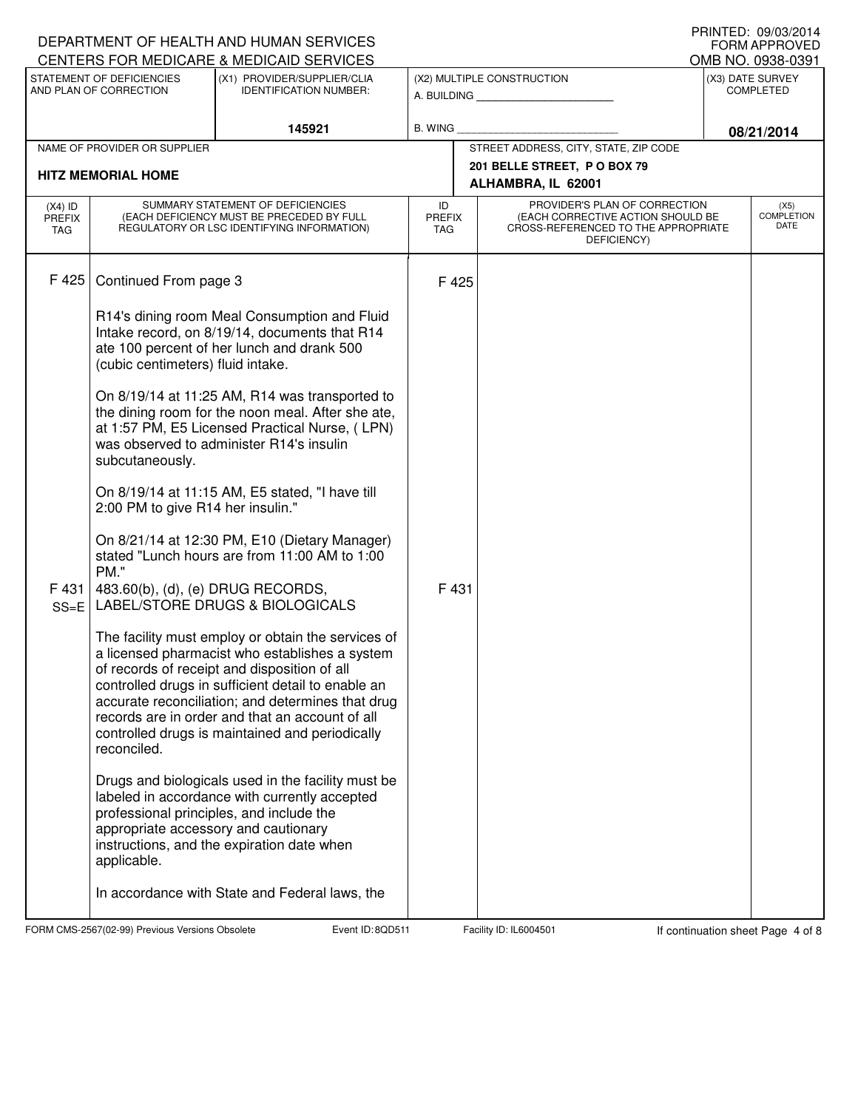|                                                                                                                                                                 |                                                     | DEPARTMENT OF HEALTH AND HUMAN SERVICES                                                                                                                                                                                                                                                                                                                               |                                                              |                                                                                                                          | FORM APPROVED<br>OMB NO. 0938-0391 |
|-----------------------------------------------------------------------------------------------------------------------------------------------------------------|-----------------------------------------------------|-----------------------------------------------------------------------------------------------------------------------------------------------------------------------------------------------------------------------------------------------------------------------------------------------------------------------------------------------------------------------|--------------------------------------------------------------|--------------------------------------------------------------------------------------------------------------------------|------------------------------------|
| CENTERS FOR MEDICARE & MEDICAID SERVICES<br>STATEMENT OF DEFICIENCIES<br>(X1) PROVIDER/SUPPLIER/CLIA<br>AND PLAN OF CORRECTION<br><b>IDENTIFICATION NUMBER:</b> |                                                     |                                                                                                                                                                                                                                                                                                                                                                       | (X2) MULTIPLE CONSTRUCTION<br>A. BUILDING <b>A.</b> BUILDING | (X3) DATE SURVEY<br><b>COMPLETED</b>                                                                                     |                                    |
| 145921                                                                                                                                                          |                                                     |                                                                                                                                                                                                                                                                                                                                                                       | B. WING                                                      |                                                                                                                          | 08/21/2014                         |
|                                                                                                                                                                 | NAME OF PROVIDER OR SUPPLIER                        |                                                                                                                                                                                                                                                                                                                                                                       |                                                              | STREET ADDRESS, CITY, STATE, ZIP CODE                                                                                    |                                    |
|                                                                                                                                                                 | <b>HITZ MEMORIAL HOME</b>                           |                                                                                                                                                                                                                                                                                                                                                                       |                                                              | 201 BELLE STREET, P O BOX 79<br>ALHAMBRA, IL 62001                                                                       |                                    |
| $(X4)$ ID<br><b>PREFIX</b><br>TAG                                                                                                                               |                                                     | SUMMARY STATEMENT OF DEFICIENCIES<br>(EACH DEFICIENCY MUST BE PRECEDED BY FULL<br>REGULATORY OR LSC IDENTIFYING INFORMATION)                                                                                                                                                                                                                                          | ID<br><b>PREFIX</b><br><b>TAG</b>                            | PROVIDER'S PLAN OF CORRECTION<br>(EACH CORRECTIVE ACTION SHOULD BE<br>CROSS-REFERENCED TO THE APPROPRIATE<br>DEFICIENCY) | (X5)<br><b>COMPLETION</b><br>DATE  |
| F 425                                                                                                                                                           | Continued From page 3                               |                                                                                                                                                                                                                                                                                                                                                                       | F 425                                                        |                                                                                                                          |                                    |
|                                                                                                                                                                 | (cubic centimeters) fluid intake.                   | R14's dining room Meal Consumption and Fluid<br>Intake record, on 8/19/14, documents that R14<br>ate 100 percent of her lunch and drank 500                                                                                                                                                                                                                           |                                                              |                                                                                                                          |                                    |
|                                                                                                                                                                 | subcutaneously.                                     | On 8/19/14 at 11:25 AM, R14 was transported to<br>the dining room for the noon meal. After she ate,<br>at 1:57 PM, E5 Licensed Practical Nurse, (LPN)<br>was observed to administer R14's insulin                                                                                                                                                                     |                                                              |                                                                                                                          |                                    |
|                                                                                                                                                                 | 2:00 PM to give R14 her insulin."                   | On 8/19/14 at 11:15 AM, E5 stated, "I have till                                                                                                                                                                                                                                                                                                                       |                                                              |                                                                                                                          |                                    |
|                                                                                                                                                                 | PM."                                                | On 8/21/14 at 12:30 PM, E10 (Dietary Manager)<br>stated "Lunch hours are from 11:00 AM to 1:00                                                                                                                                                                                                                                                                        |                                                              |                                                                                                                          |                                    |
| F 431<br>$SS = E$                                                                                                                                               | 483.60(b), (d), (e) DRUG RECORDS,                   | LABEL/STORE DRUGS & BIOLOGICALS                                                                                                                                                                                                                                                                                                                                       | F 431                                                        |                                                                                                                          |                                    |
|                                                                                                                                                                 | reconciled.                                         | The facility must employ or obtain the services of<br>a licensed pharmacist who establishes a system<br>of records of receipt and disposition of all<br>controlled drugs in sufficient detail to enable an<br>accurate reconciliation; and determines that drug<br>records are in order and that an account of all<br>controlled drugs is maintained and periodically |                                                              |                                                                                                                          |                                    |
|                                                                                                                                                                 | appropriate accessory and cautionary<br>applicable. | Drugs and biologicals used in the facility must be<br>labeled in accordance with currently accepted<br>professional principles, and include the<br>instructions, and the expiration date when                                                                                                                                                                         |                                                              |                                                                                                                          |                                    |
|                                                                                                                                                                 |                                                     | In accordance with State and Federal laws, the                                                                                                                                                                                                                                                                                                                        |                                                              |                                                                                                                          |                                    |

FORM CMS-2567(02-99) Previous Versions Obsolete **800 Event ID: 8QD511** Facility ID: IL6004501 If continuation sheet Page 4 of 8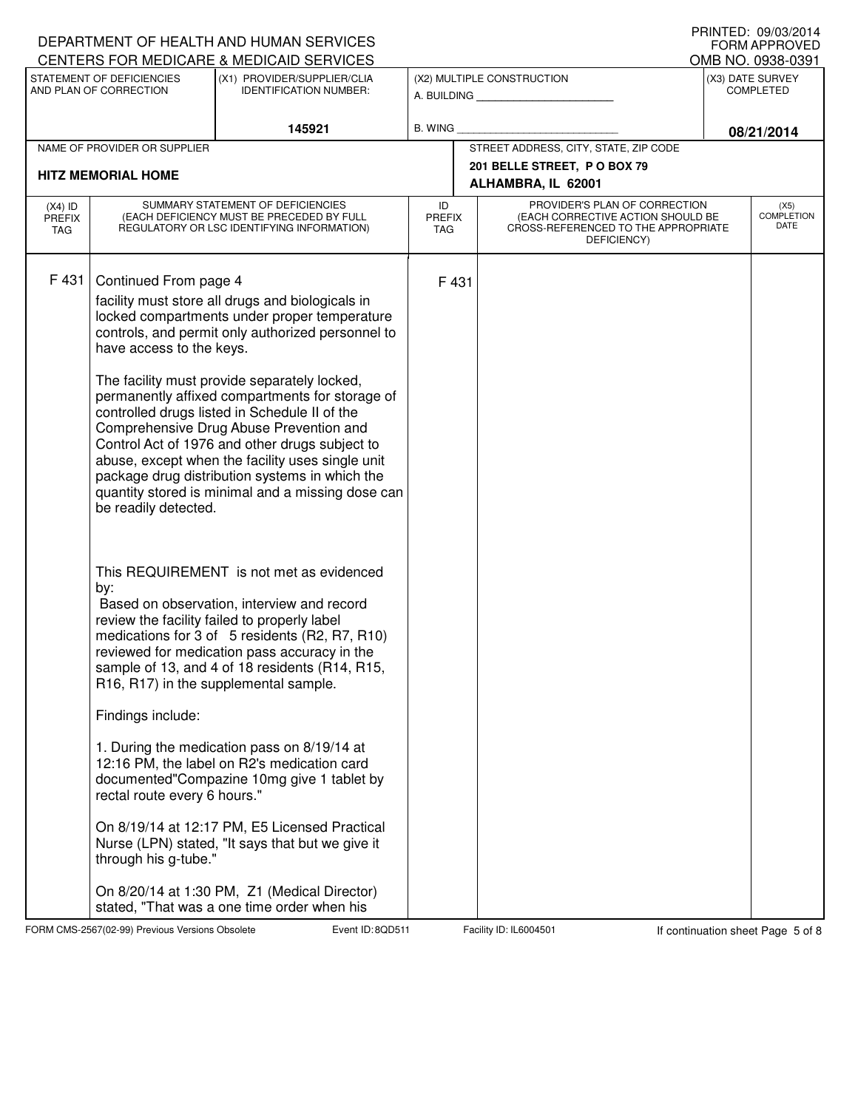|                                                                                                                                                                 |                                                   | DEPARTMENT OF HEALTH AND HUMAN SERVICES                                                                                                                                                                                                                                                                                                                  |                                   |                                           |                                                                                                                          |            | + ו <i>ו</i> ווער שם ו אוווו<br><b>FORM APPROVED</b><br>OMB NO. 0938-0391 |  |
|-----------------------------------------------------------------------------------------------------------------------------------------------------------------|---------------------------------------------------|----------------------------------------------------------------------------------------------------------------------------------------------------------------------------------------------------------------------------------------------------------------------------------------------------------------------------------------------------------|-----------------------------------|-------------------------------------------|--------------------------------------------------------------------------------------------------------------------------|------------|---------------------------------------------------------------------------|--|
| CENTERS FOR MEDICARE & MEDICAID SERVICES<br>STATEMENT OF DEFICIENCIES<br>(X1) PROVIDER/SUPPLIER/CLIA<br>AND PLAN OF CORRECTION<br><b>IDENTIFICATION NUMBER:</b> |                                                   |                                                                                                                                                                                                                                                                                                                                                          |                                   | (X2) MULTIPLE CONSTRUCTION<br>A. BUILDING | (X3) DATE SURVEY<br><b>COMPLETED</b>                                                                                     |            |                                                                           |  |
|                                                                                                                                                                 | 145921                                            |                                                                                                                                                                                                                                                                                                                                                          | <b>B. WING</b>                    |                                           |                                                                                                                          | 08/21/2014 |                                                                           |  |
|                                                                                                                                                                 | NAME OF PROVIDER OR SUPPLIER                      |                                                                                                                                                                                                                                                                                                                                                          |                                   |                                           | STREET ADDRESS, CITY, STATE, ZIP CODE                                                                                    |            |                                                                           |  |
| <b>HITZ MEMORIAL HOME</b>                                                                                                                                       |                                                   |                                                                                                                                                                                                                                                                                                                                                          |                                   |                                           | 201 BELLE STREET, P O BOX 79<br>ALHAMBRA, IL 62001                                                                       |            |                                                                           |  |
| $(X4)$ ID<br><b>PREFIX</b><br><b>TAG</b>                                                                                                                        |                                                   | SUMMARY STATEMENT OF DEFICIENCIES<br>(EACH DEFICIENCY MUST BE PRECEDED BY FULL<br>REGULATORY OR LSC IDENTIFYING INFORMATION)                                                                                                                                                                                                                             | ID<br><b>PREFIX</b><br><b>TAG</b> |                                           | PROVIDER'S PLAN OF CORRECTION<br>(EACH CORRECTIVE ACTION SHOULD BE<br>CROSS-REFERENCED TO THE APPROPRIATE<br>DEFICIENCY) |            | (X5)<br><b>COMPLETION</b><br>DATE                                         |  |
| F 431                                                                                                                                                           | Continued From page 4<br>have access to the keys. | facility must store all drugs and biologicals in<br>locked compartments under proper temperature<br>controls, and permit only authorized personnel to<br>The facility must provide separately locked,                                                                                                                                                    | F 431                             |                                           |                                                                                                                          |            |                                                                           |  |
|                                                                                                                                                                 | be readily detected.                              | permanently affixed compartments for storage of<br>controlled drugs listed in Schedule II of the<br>Comprehensive Drug Abuse Prevention and<br>Control Act of 1976 and other drugs subject to<br>abuse, except when the facility uses single unit<br>package drug distribution systems in which the<br>quantity stored is minimal and a missing dose can |                                   |                                           |                                                                                                                          |            |                                                                           |  |
|                                                                                                                                                                 | by:                                               | This REQUIREMENT is not met as evidenced<br>Based on observation, interview and record<br>review the facility failed to properly label<br>medications for 3 of 5 residents (R2, R7, R10)<br>reviewed for medication pass accuracy in the<br>sample of 13, and 4 of 18 residents (R14, R15,<br>R16, R17) in the supplemental sample.                      |                                   |                                           |                                                                                                                          |            |                                                                           |  |
|                                                                                                                                                                 | Findings include:                                 |                                                                                                                                                                                                                                                                                                                                                          |                                   |                                           |                                                                                                                          |            |                                                                           |  |
|                                                                                                                                                                 | rectal route every 6 hours."                      | 1. During the medication pass on 8/19/14 at<br>12:16 PM, the label on R2's medication card<br>documented"Compazine 10mg give 1 tablet by                                                                                                                                                                                                                 |                                   |                                           |                                                                                                                          |            |                                                                           |  |
|                                                                                                                                                                 | through his g-tube."                              | On 8/19/14 at 12:17 PM, E5 Licensed Practical<br>Nurse (LPN) stated, "It says that but we give it                                                                                                                                                                                                                                                        |                                   |                                           |                                                                                                                          |            |                                                                           |  |
|                                                                                                                                                                 |                                                   | On 8/20/14 at 1:30 PM, Z1 (Medical Director)<br>stated, "That was a one time order when his                                                                                                                                                                                                                                                              |                                   |                                           |                                                                                                                          |            |                                                                           |  |

FORM CMS-2567(02-99) Previous Versions Obsolete **800 Event ID: 8QD511** Facility ID: IL6004501 If continuation sheet Page 5 of 8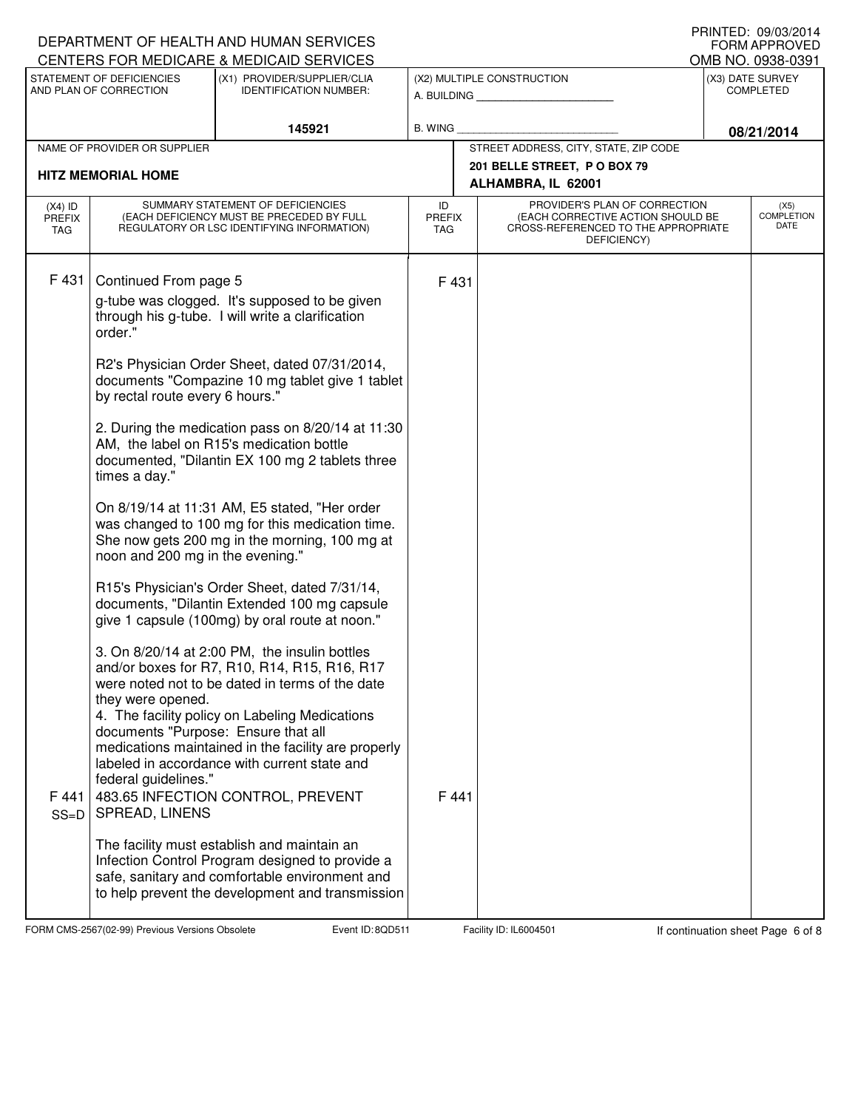|                                   |                                                                                                    | DEPARTMENT OF HEALTH AND HUMAN SERVICES                                                                                                                                                                                                                                                                                                        |                                   |       |                                                                                                                          | <b>FORM APPROVED</b>                 |
|-----------------------------------|----------------------------------------------------------------------------------------------------|------------------------------------------------------------------------------------------------------------------------------------------------------------------------------------------------------------------------------------------------------------------------------------------------------------------------------------------------|-----------------------------------|-------|--------------------------------------------------------------------------------------------------------------------------|--------------------------------------|
|                                   |                                                                                                    | <b>CENTERS FOR MEDICARE &amp; MEDICAID SERVICES</b>                                                                                                                                                                                                                                                                                            |                                   |       |                                                                                                                          | OMB NO. 0938-0391                    |
|                                   | STATEMENT OF DEFICIENCIES<br>AND PLAN OF CORRECTION                                                | (X1) PROVIDER/SUPPLIER/CLIA<br><b>IDENTIFICATION NUMBER:</b>                                                                                                                                                                                                                                                                                   |                                   |       | (X2) MULTIPLE CONSTRUCTION<br>A. BUILDING A.                                                                             | (X3) DATE SURVEY<br><b>COMPLETED</b> |
|                                   |                                                                                                    | 145921                                                                                                                                                                                                                                                                                                                                         | <b>B. WING</b>                    |       |                                                                                                                          | 08/21/2014                           |
|                                   | NAME OF PROVIDER OR SUPPLIER                                                                       |                                                                                                                                                                                                                                                                                                                                                |                                   |       | STREET ADDRESS, CITY, STATE, ZIP CODE                                                                                    |                                      |
|                                   | <b>HITZ MEMORIAL HOME</b>                                                                          |                                                                                                                                                                                                                                                                                                                                                |                                   |       | 201 BELLE STREET, P O BOX 79<br>ALHAMBRA, IL 62001                                                                       |                                      |
| $(X4)$ ID<br><b>PREFIX</b><br>TAG |                                                                                                    | SUMMARY STATEMENT OF DEFICIENCIES<br>(EACH DEFICIENCY MUST BE PRECEDED BY FULL<br>REGULATORY OR LSC IDENTIFYING INFORMATION)                                                                                                                                                                                                                   | ID<br><b>PREFIX</b><br><b>TAG</b> |       | PROVIDER'S PLAN OF CORRECTION<br>(EACH CORRECTIVE ACTION SHOULD BE<br>CROSS-REFERENCED TO THE APPROPRIATE<br>DEFICIENCY) | (X5)<br><b>COMPLETION</b><br>DATE    |
| F431                              | Continued From page 5<br>order."                                                                   | g-tube was clogged. It's supposed to be given<br>through his g-tube. I will write a clarification<br>R2's Physician Order Sheet, dated 07/31/2014,                                                                                                                                                                                             |                                   | F 431 |                                                                                                                          |                                      |
|                                   | by rectal route every 6 hours."                                                                    | documents "Compazine 10 mg tablet give 1 tablet                                                                                                                                                                                                                                                                                                |                                   |       |                                                                                                                          |                                      |
|                                   | times a day."                                                                                      | 2. During the medication pass on 8/20/14 at 11:30<br>AM, the label on R15's medication bottle<br>documented, "Dilantin EX 100 mg 2 tablets three                                                                                                                                                                                               |                                   |       |                                                                                                                          |                                      |
|                                   | noon and 200 mg in the evening."                                                                   | On 8/19/14 at 11:31 AM, E5 stated, "Her order<br>was changed to 100 mg for this medication time.<br>She now gets 200 mg in the morning, 100 mg at                                                                                                                                                                                              |                                   |       |                                                                                                                          |                                      |
|                                   |                                                                                                    | R15's Physician's Order Sheet, dated 7/31/14,<br>documents, "Dilantin Extended 100 mg capsule<br>give 1 capsule (100mg) by oral route at noon."                                                                                                                                                                                                |                                   |       |                                                                                                                          |                                      |
| F 441<br>$SS=D$                   | they were opened.<br>documents "Purpose: Ensure that all<br>federal guidelines."<br>SPREAD, LINENS | 3. On 8/20/14 at 2:00 PM, the insulin bottles<br>and/or boxes for R7, R10, R14, R15, R16, R17<br>were noted not to be dated in terms of the date<br>4. The facility policy on Labeling Medications<br>medications maintained in the facility are properly<br>labeled in accordance with current state and<br>483.65 INFECTION CONTROL, PREVENT |                                   | F 441 |                                                                                                                          |                                      |
|                                   |                                                                                                    | The facility must establish and maintain an<br>Infection Control Program designed to provide a<br>safe, sanitary and comfortable environment and<br>to help prevent the development and transmission                                                                                                                                           |                                   |       |                                                                                                                          |                                      |

FORM CMS-2567(02-99) Previous Versions Obsolete **800 Event ID: 8QD511** Facility ID: IL6004501 If continuation sheet Page 6 of 8

DEPARTMENT OF HEALTH AND HUMAN SERVICES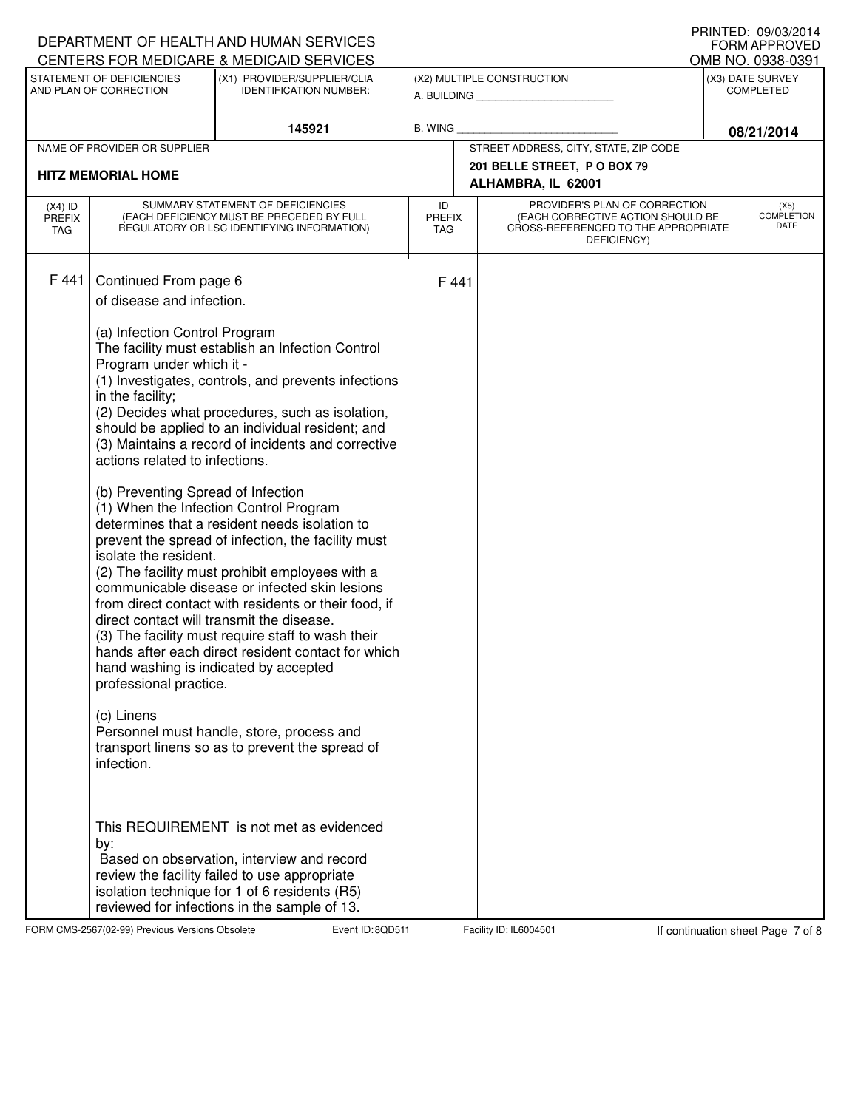|                                   |                                                                                                                                                                                                                                                                                                                                                | DEPARTMENT OF HEALTH AND HUMAN SERVICES<br>CENTERS FOR MEDICARE & MEDICAID SERVICES                                                                                                                                                                                                                                                                                                                                                                                                                                                                                                                                                                                                                                                                                                                                                                                                                                                                                                                                               |                                   |       |                                                                                                                          |            | I INNILL, VJ/VJ/LVI+<br><b>FORM APPROVED</b><br>OMB NO. 0938-0391 |
|-----------------------------------|------------------------------------------------------------------------------------------------------------------------------------------------------------------------------------------------------------------------------------------------------------------------------------------------------------------------------------------------|-----------------------------------------------------------------------------------------------------------------------------------------------------------------------------------------------------------------------------------------------------------------------------------------------------------------------------------------------------------------------------------------------------------------------------------------------------------------------------------------------------------------------------------------------------------------------------------------------------------------------------------------------------------------------------------------------------------------------------------------------------------------------------------------------------------------------------------------------------------------------------------------------------------------------------------------------------------------------------------------------------------------------------------|-----------------------------------|-------|--------------------------------------------------------------------------------------------------------------------------|------------|-------------------------------------------------------------------|
|                                   | STATEMENT OF DEFICIENCIES<br>AND PLAN OF CORRECTION                                                                                                                                                                                                                                                                                            | (X1) PROVIDER/SUPPLIER/CLIA<br><b>IDENTIFICATION NUMBER:</b>                                                                                                                                                                                                                                                                                                                                                                                                                                                                                                                                                                                                                                                                                                                                                                                                                                                                                                                                                                      |                                   |       | (X2) MULTIPLE CONSTRUCTION<br>A. BUILDING <b>A.</b> BUILDING                                                             |            | (X3) DATE SURVEY<br><b>COMPLETED</b>                              |
|                                   |                                                                                                                                                                                                                                                                                                                                                | 145921                                                                                                                                                                                                                                                                                                                                                                                                                                                                                                                                                                                                                                                                                                                                                                                                                                                                                                                                                                                                                            | <b>B. WING</b>                    |       |                                                                                                                          | 08/21/2014 |                                                                   |
|                                   | NAME OF PROVIDER OR SUPPLIER                                                                                                                                                                                                                                                                                                                   |                                                                                                                                                                                                                                                                                                                                                                                                                                                                                                                                                                                                                                                                                                                                                                                                                                                                                                                                                                                                                                   |                                   |       | STREET ADDRESS, CITY, STATE, ZIP CODE                                                                                    |            |                                                                   |
| <b>HITZ MEMORIAL HOME</b>         |                                                                                                                                                                                                                                                                                                                                                |                                                                                                                                                                                                                                                                                                                                                                                                                                                                                                                                                                                                                                                                                                                                                                                                                                                                                                                                                                                                                                   |                                   |       | 201 BELLE STREET, P O BOX 79<br>ALHAMBRA, IL 62001                                                                       |            |                                                                   |
| $(X4)$ ID<br><b>PREFIX</b><br>TAG |                                                                                                                                                                                                                                                                                                                                                | SUMMARY STATEMENT OF DEFICIENCIES<br>(EACH DEFICIENCY MUST BE PRECEDED BY FULL<br>REGULATORY OR LSC IDENTIFYING INFORMATION)                                                                                                                                                                                                                                                                                                                                                                                                                                                                                                                                                                                                                                                                                                                                                                                                                                                                                                      | ID<br><b>PREFIX</b><br><b>TAG</b> |       | PROVIDER'S PLAN OF CORRECTION<br>(EACH CORRECTIVE ACTION SHOULD BE<br>CROSS-REFERENCED TO THE APPROPRIATE<br>DEFICIENCY) |            | (X5)<br><b>COMPLETION</b><br><b>DATE</b>                          |
| F 441                             | Continued From page 6<br>of disease and infection.<br>(a) Infection Control Program<br>Program under which it -<br>in the facility;<br>actions related to infections.<br>(b) Preventing Spread of Infection<br>isolate the resident.<br>direct contact will transmit the disease.<br>professional practice.<br>(c) Linens<br>infection.<br>by: | The facility must establish an Infection Control<br>(1) Investigates, controls, and prevents infections<br>(2) Decides what procedures, such as isolation,<br>should be applied to an individual resident; and<br>(3) Maintains a record of incidents and corrective<br>(1) When the Infection Control Program<br>determines that a resident needs isolation to<br>prevent the spread of infection, the facility must<br>(2) The facility must prohibit employees with a<br>communicable disease or infected skin lesions<br>from direct contact with residents or their food, if<br>(3) The facility must require staff to wash their<br>hands after each direct resident contact for which<br>hand washing is indicated by accepted<br>Personnel must handle, store, process and<br>transport linens so as to prevent the spread of<br>This REQUIREMENT is not met as evidenced<br>Based on observation, interview and record<br>review the facility failed to use appropriate<br>isolation technique for 1 of 6 residents (R5) |                                   | F 441 |                                                                                                                          |            |                                                                   |
|                                   |                                                                                                                                                                                                                                                                                                                                                | reviewed for infections in the sample of 13.                                                                                                                                                                                                                                                                                                                                                                                                                                                                                                                                                                                                                                                                                                                                                                                                                                                                                                                                                                                      |                                   |       |                                                                                                                          |            |                                                                   |

FORM CMS-2567(02-99) Previous Versions Obsolete **800 Event ID: 8QD511** Facility ID: IL6004501 If continuation sheet Page 7 of 8